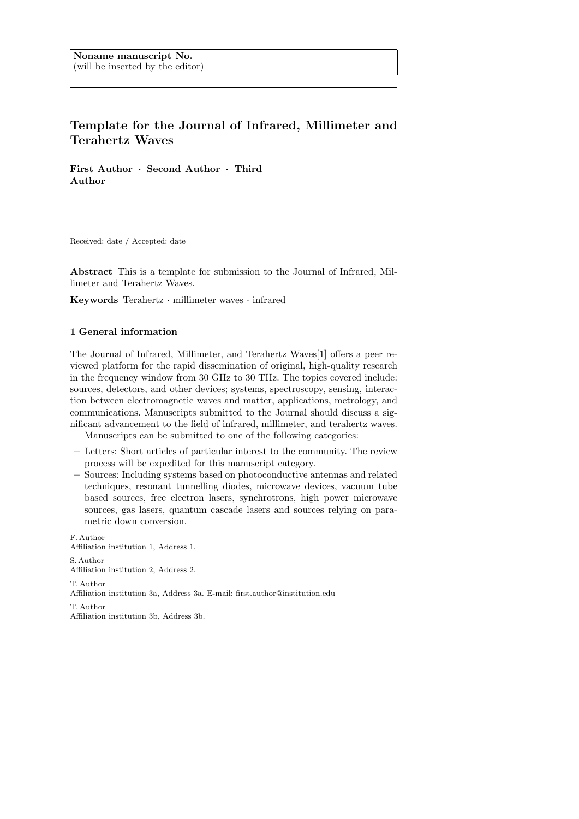# Template for the Journal of Infrared, Millimeter and Terahertz Waves

First Author · Second Author · Third Author

Received: date / Accepted: date

Abstract This is a template for submission to the Journal of Infrared, Millimeter and Terahertz Waves.

Keywords Terahertz · millimeter waves · infrared

# 1 General information

The Journal of Infrared, Millimeter, and Terahertz Waves[1] offers a peer reviewed platform for the rapid dissemination of original, high-quality research in the frequency window from 30 GHz to 30 THz. The topics covered include: sources, detectors, and other devices; systems, spectroscopy, sensing, interaction between electromagnetic waves and matter, applications, metrology, and communications. Manuscripts submitted to the Journal should discuss a significant advancement to the field of infrared, millimeter, and terahertz waves.

Manuscripts can be submitted to one of the following categories:

- Letters: Short articles of particular interest to the community. The review process will be expedited for this manuscript category.
- Sources: Including systems based on photoconductive antennas and related techniques, resonant tunnelling diodes, microwave devices, vacuum tube based sources, free electron lasers, synchrotrons, high power microwave sources, gas lasers, quantum cascade lasers and sources relying on parametric down conversion.

F. Author Affiliation institution 1, Address 1. S. Author Affiliation institution 2, Address 2. T. Author Affiliation institution 3a, Address 3a. E-mail: first.author@institution.edu T. Author

Affiliation institution 3b, Address 3b.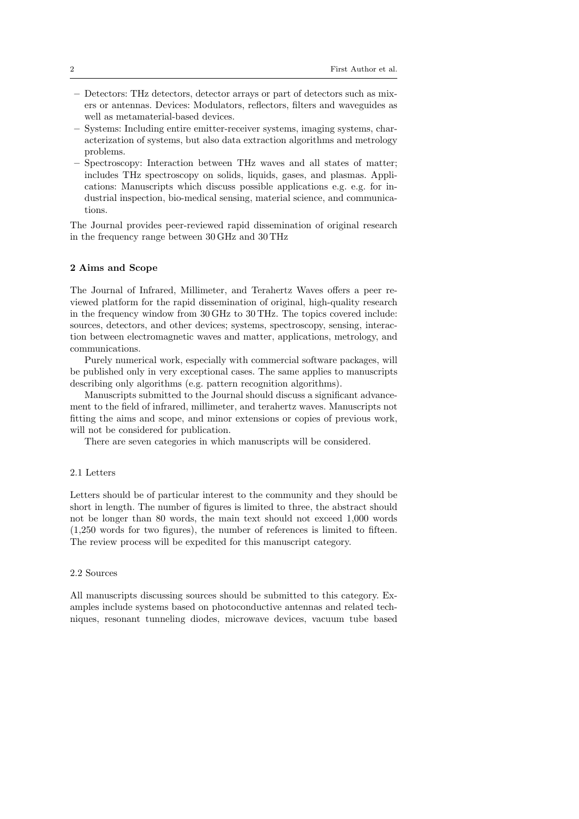- Detectors: THz detectors, detector arrays or part of detectors such as mixers or antennas. Devices: Modulators, reflectors, filters and waveguides as well as metamaterial-based devices.
- Systems: Including entire emitter-receiver systems, imaging systems, characterization of systems, but also data extraction algorithms and metrology problems.
- Spectroscopy: Interaction between THz waves and all states of matter; includes THz spectroscopy on solids, liquids, gases, and plasmas. Applications: Manuscripts which discuss possible applications e.g. e.g. for industrial inspection, bio-medical sensing, material science, and communications.

The Journal provides peer-reviewed rapid dissemination of original research in the frequency range between 30 GHz and 30 THz

#### 2 Aims and Scope

The Journal of Infrared, Millimeter, and Terahertz Waves offers a peer reviewed platform for the rapid dissemination of original, high-quality research in the frequency window from 30 GHz to 30 THz. The topics covered include: sources, detectors, and other devices; systems, spectroscopy, sensing, interaction between electromagnetic waves and matter, applications, metrology, and communications.

Purely numerical work, especially with commercial software packages, will be published only in very exceptional cases. The same applies to manuscripts describing only algorithms (e.g. pattern recognition algorithms).

Manuscripts submitted to the Journal should discuss a significant advancement to the field of infrared, millimeter, and terahertz waves. Manuscripts not fitting the aims and scope, and minor extensions or copies of previous work, will not be considered for publication.

There are seven categories in which manuscripts will be considered.

## 2.1 Letters

Letters should be of particular interest to the community and they should be short in length. The number of figures is limited to three, the abstract should not be longer than 80 words, the main text should not exceed 1,000 words (1,250 words for two figures), the number of references is limited to fifteen. The review process will be expedited for this manuscript category.

#### 2.2 Sources

All manuscripts discussing sources should be submitted to this category. Examples include systems based on photoconductive antennas and related techniques, resonant tunneling diodes, microwave devices, vacuum tube based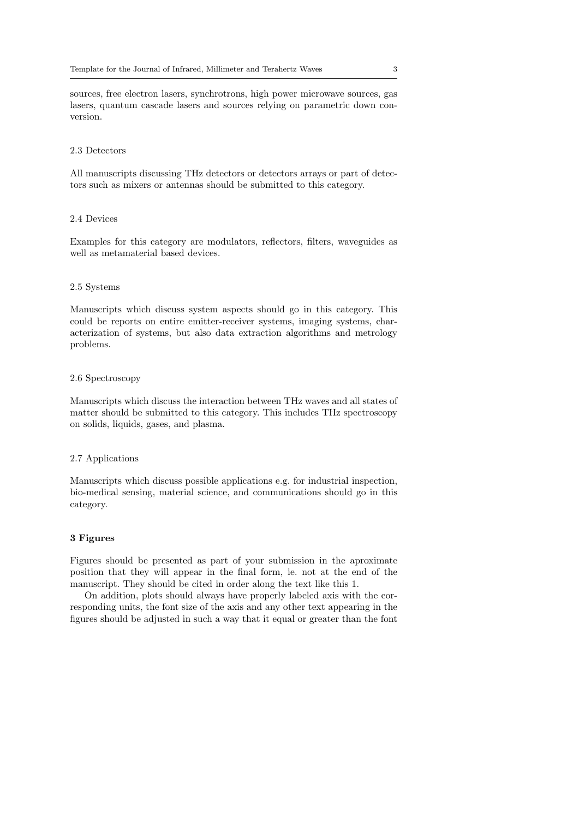sources, free electron lasers, synchrotrons, high power microwave sources, gas lasers, quantum cascade lasers and sources relying on parametric down conversion.

#### 2.3 Detectors

All manuscripts discussing THz detectors or detectors arrays or part of detectors such as mixers or antennas should be submitted to this category.

#### 2.4 Devices

Examples for this category are modulators, reflectors, filters, waveguides as well as metamaterial based devices.

#### 2.5 Systems

Manuscripts which discuss system aspects should go in this category. This could be reports on entire emitter-receiver systems, imaging systems, characterization of systems, but also data extraction algorithms and metrology problems.

#### 2.6 Spectroscopy

Manuscripts which discuss the interaction between THz waves and all states of matter should be submitted to this category. This includes THz spectroscopy on solids, liquids, gases, and plasma.

#### 2.7 Applications

Manuscripts which discuss possible applications e.g. for industrial inspection, bio-medical sensing, material science, and communications should go in this category.

# 3 Figures

Figures should be presented as part of your submission in the aproximate position that they will appear in the final form, ie. not at the end of the manuscript. They should be cited in order along the text like this 1.

On addition, plots should always have properly labeled axis with the corresponding units, the font size of the axis and any other text appearing in the figures should be adjusted in such a way that it equal or greater than the font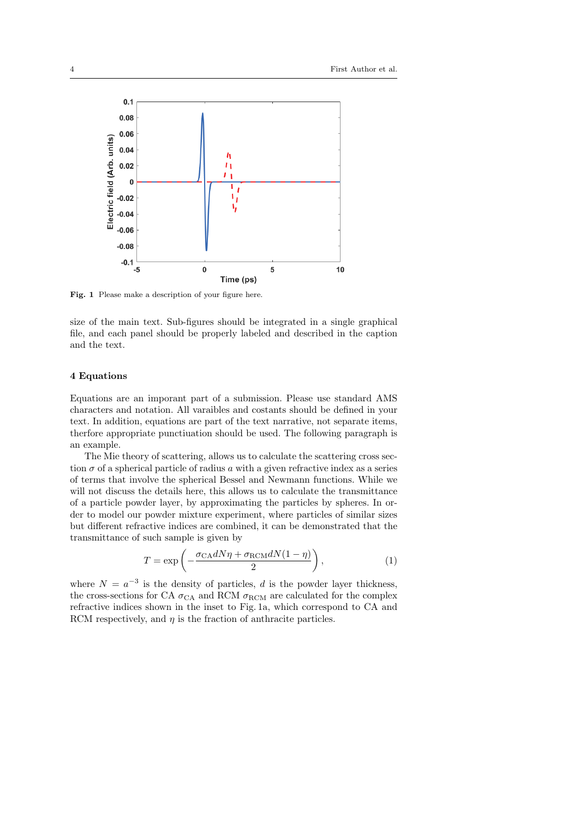

Fig. 1 Please make a description of your figure here.

size of the main text. Sub-figures should be integrated in a single graphical file, and each panel should be properly labeled and described in the caption and the text.

#### 4 Equations

Equations are an imporant part of a submission. Please use standard AMS characters and notation. All varaibles and costants should be defined in your text. In addition, equations are part of the text narrative, not separate items, therfore appropriate punctiuation should be used. The following paragraph is an example.

The Mie theory of scattering, allows us to calculate the scattering cross section  $\sigma$  of a spherical particle of radius a with a given refractive index as a series of terms that involve the spherical Bessel and Newmann functions. While we will not discuss the details here, this allows us to calculate the transmittance of a particle powder layer, by approximating the particles by spheres. In order to model our powder mixture experiment, where particles of similar sizes but different refractive indices are combined, it can be demonstrated that the transmittance of such sample is given by

$$
T = \exp\left(-\frac{\sigma_{\text{CA}}dN\eta + \sigma_{\text{RCM}}dN(1-\eta)}{2}\right),\tag{1}
$$

where  $N = a^{-3}$  is the density of particles, d is the powder layer thickness, the cross-sections for CA  $\sigma_{\text{CA}}$  and RCM  $\sigma_{\text{RCM}}$  are calculated for the complex refractive indices shown in the inset to Fig. 1a, which correspond to CA and RCM respectively, and  $\eta$  is the fraction of anthracite particles.